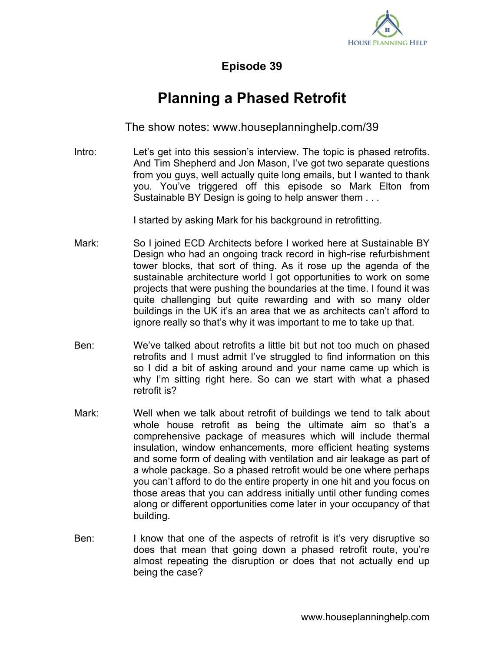

**Episode 39**

## **Planning a Phased Retrofit**

The show notes: www.houseplanninghelp.com/39

Intro: Let's get into this session's interview. The topic is phased retrofits. And Tim Shepherd and Jon Mason, I've got two separate questions from you guys, well actually quite long emails, but I wanted to thank you. You've triggered off this episode so Mark Elton from Sustainable BY Design is going to help answer them . . .

I started by asking Mark for his background in retrofitting.

- Mark: So I joined ECD Architects before I worked here at Sustainable BY Design who had an ongoing track record in high-rise refurbishment tower blocks, that sort of thing. As it rose up the agenda of the sustainable architecture world I got opportunities to work on some projects that were pushing the boundaries at the time. I found it was quite challenging but quite rewarding and with so many older buildings in the UK it's an area that we as architects can't afford to ignore really so that's why it was important to me to take up that.
- Ben: We've talked about retrofits a little bit but not too much on phased retrofits and I must admit I've struggled to find information on this so I did a bit of asking around and your name came up which is why I'm sitting right here. So can we start with what a phased retrofit is?
- Mark: Well when we talk about retrofit of buildings we tend to talk about whole house retrofit as being the ultimate aim so that's a comprehensive package of measures which will include thermal insulation, window enhancements, more efficient heating systems and some form of dealing with ventilation and air leakage as part of a whole package. So a phased retrofit would be one where perhaps you can't afford to do the entire property in one hit and you focus on those areas that you can address initially until other funding comes along or different opportunities come later in your occupancy of that building.
- Ben: I know that one of the aspects of retrofit is it's very disruptive so does that mean that going down a phased retrofit route, you're almost repeating the disruption or does that not actually end up being the case?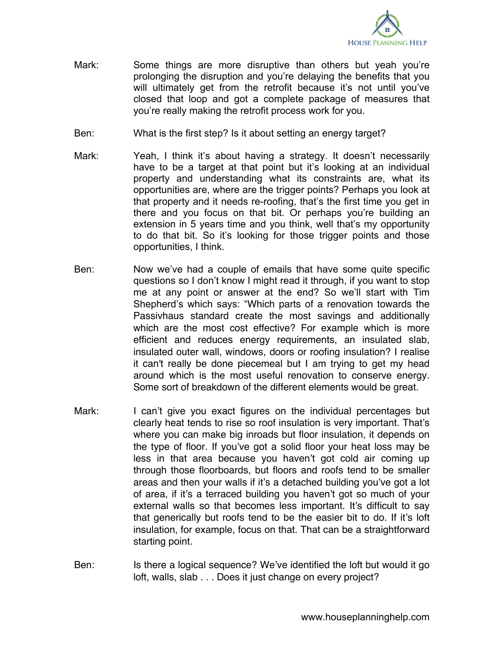

- Mark: Some things are more disruptive than others but yeah you're prolonging the disruption and you're delaying the benefits that you will ultimately get from the retrofit because it's not until you've closed that loop and got a complete package of measures that you're really making the retrofit process work for you.
- Ben: What is the first step? Is it about setting an energy target?
- Mark: Yeah, I think it's about having a strategy. It doesn't necessarily have to be a target at that point but it's looking at an individual property and understanding what its constraints are, what its opportunities are, where are the trigger points? Perhaps you look at that property and it needs re-roofing, that's the first time you get in there and you focus on that bit. Or perhaps you're building an extension in 5 years time and you think, well that's my opportunity to do that bit. So it's looking for those trigger points and those opportunities, I think.
- Ben: Now we've had a couple of emails that have some quite specific questions so I don't know I might read it through, if you want to stop me at any point or answer at the end? So we'll start with Tim Shepherd's which says: "Which parts of a renovation towards the Passivhaus standard create the most savings and additionally which are the most cost effective? For example which is more efficient and reduces energy requirements, an insulated slab, insulated outer wall, windows, doors or roofing insulation? I realise it can't really be done piecemeal but I am trying to get my head around which is the most useful renovation to conserve energy. Some sort of breakdown of the different elements would be great.
- Mark: I can't give you exact figures on the individual percentages but clearly heat tends to rise so roof insulation is very important. That's where you can make big inroads but floor insulation, it depends on the type of floor. If you've got a solid floor your heat loss may be less in that area because you haven't got cold air coming up through those floorboards, but floors and roofs tend to be smaller areas and then your walls if it's a detached building you've got a lot of area, if it's a terraced building you haven't got so much of your external walls so that becomes less important. It's difficult to say that generically but roofs tend to be the easier bit to do. If it's loft insulation, for example, focus on that. That can be a straightforward starting point.
- Ben: Is there a logical sequence? We've identified the loft but would it go loft, walls, slab . . . Does it just change on every project?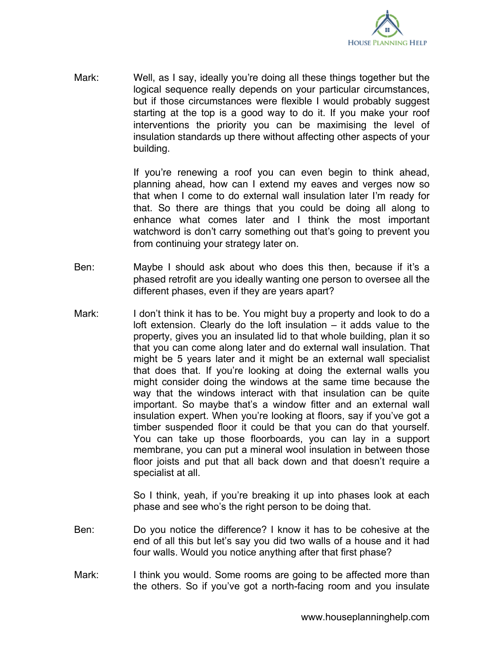

Mark: Well, as I say, ideally you're doing all these things together but the logical sequence really depends on your particular circumstances, but if those circumstances were flexible I would probably suggest starting at the top is a good way to do it. If you make your roof interventions the priority you can be maximising the level of insulation standards up there without affecting other aspects of your building.

> If you're renewing a roof you can even begin to think ahead, planning ahead, how can I extend my eaves and verges now so that when I come to do external wall insulation later I'm ready for that. So there are things that you could be doing all along to enhance what comes later and I think the most important watchword is don't carry something out that's going to prevent you from continuing your strategy later on.

- Ben: Maybe I should ask about who does this then, because if it's a phased retrofit are you ideally wanting one person to oversee all the different phases, even if they are years apart?
- Mark: I don't think it has to be. You might buy a property and look to do a loft extension. Clearly do the loft insulation – it adds value to the property, gives you an insulated lid to that whole building, plan it so that you can come along later and do external wall insulation. That might be 5 years later and it might be an external wall specialist that does that. If you're looking at doing the external walls you might consider doing the windows at the same time because the way that the windows interact with that insulation can be quite important. So maybe that's a window fitter and an external wall insulation expert. When you're looking at floors, say if you've got a timber suspended floor it could be that you can do that yourself. You can take up those floorboards, you can lay in a support membrane, you can put a mineral wool insulation in between those floor joists and put that all back down and that doesn't require a specialist at all.

So I think, yeah, if you're breaking it up into phases look at each phase and see who's the right person to be doing that.

- Ben: Do you notice the difference? I know it has to be cohesive at the end of all this but let's say you did two walls of a house and it had four walls. Would you notice anything after that first phase?
- Mark: I think you would. Some rooms are going to be affected more than the others. So if you've got a north-facing room and you insulate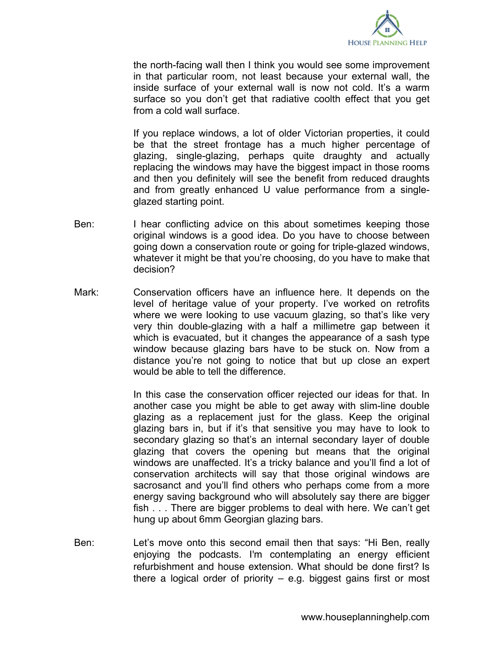

the north-facing wall then I think you would see some improvement in that particular room, not least because your external wall, the inside surface of your external wall is now not cold. It's a warm surface so you don't get that radiative coolth effect that you get from a cold wall surface.

If you replace windows, a lot of older Victorian properties, it could be that the street frontage has a much higher percentage of glazing, single-glazing, perhaps quite draughty and actually replacing the windows may have the biggest impact in those rooms and then you definitely will see the benefit from reduced draughts and from greatly enhanced U value performance from a singleglazed starting point.

- Ben: I hear conflicting advice on this about sometimes keeping those original windows is a good idea. Do you have to choose between going down a conservation route or going for triple-glazed windows, whatever it might be that you're choosing, do you have to make that decision?
- Mark: Conservation officers have an influence here. It depends on the level of heritage value of your property. I've worked on retrofits where we were looking to use vacuum glazing, so that's like very very thin double-glazing with a half a millimetre gap between it which is evacuated, but it changes the appearance of a sash type window because glazing bars have to be stuck on. Now from a distance you're not going to notice that but up close an expert would be able to tell the difference.

In this case the conservation officer rejected our ideas for that. In another case you might be able to get away with slim-line double glazing as a replacement just for the glass. Keep the original glazing bars in, but if it's that sensitive you may have to look to secondary glazing so that's an internal secondary layer of double glazing that covers the opening but means that the original windows are unaffected. It's a tricky balance and you'll find a lot of conservation architects will say that those original windows are sacrosanct and you'll find others who perhaps come from a more energy saving background who will absolutely say there are bigger fish . . . There are bigger problems to deal with here. We can't get hung up about 6mm Georgian glazing bars.

Ben: Let's move onto this second email then that says: "Hi Ben, really enjoying the podcasts. I'm contemplating an energy efficient refurbishment and house extension. What should be done first? Is there a logical order of priority  $-$  e.g. biggest gains first or most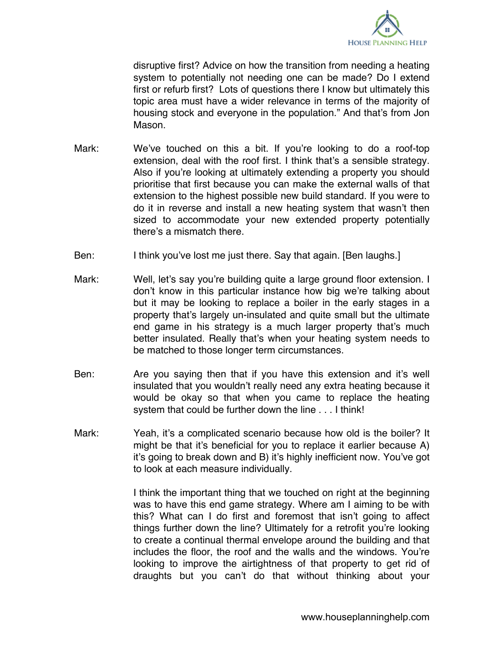

disruptive first? Advice on how the transition from needing a heating system to potentially not needing one can be made? Do I extend first or refurb first? Lots of questions there I know but ultimately this topic area must have a wider relevance in terms of the majority of housing stock and everyone in the population." And that's from Jon Mason.

- Mark: We've touched on this a bit. If you're looking to do a roof-top extension, deal with the roof first. I think that's a sensible strategy. Also if you're looking at ultimately extending a property you should prioritise that first because you can make the external walls of that extension to the highest possible new build standard. If you were to do it in reverse and install a new heating system that wasn't then sized to accommodate your new extended property potentially there's a mismatch there.
- Ben: I think you've lost me just there. Say that again. [Ben laughs.]
- Mark: Well, let's say you're building quite a large ground floor extension. I don't know in this particular instance how big we're talking about but it may be looking to replace a boiler in the early stages in a property that's largely un-insulated and quite small but the ultimate end game in his strategy is a much larger property that's much better insulated. Really that's when your heating system needs to be matched to those longer term circumstances.
- Ben: Are you saying then that if you have this extension and it's well insulated that you wouldn't really need any extra heating because it would be okay so that when you came to replace the heating system that could be further down the line . . . I think!
- Mark: Yeah, it's a complicated scenario because how old is the boiler? It might be that it's beneficial for you to replace it earlier because A) it's going to break down and B) it's highly inefficient now. You've got to look at each measure individually.

I think the important thing that we touched on right at the beginning was to have this end game strategy. Where am I aiming to be with this? What can I do first and foremost that isn't going to affect things further down the line? Ultimately for a retrofit you're looking to create a continual thermal envelope around the building and that includes the floor, the roof and the walls and the windows. You're looking to improve the airtightness of that property to get rid of draughts but you can't do that without thinking about your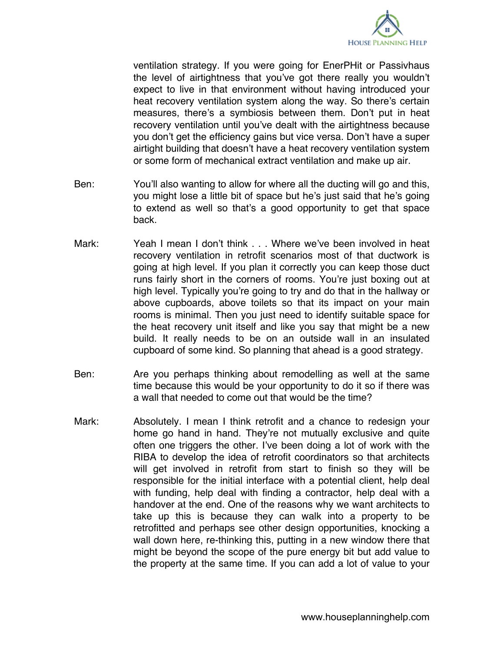

ventilation strategy. If you were going for EnerPHit or Passivhaus the level of airtightness that you've got there really you wouldn't expect to live in that environment without having introduced your heat recovery ventilation system along the way. So there's certain measures, there's a symbiosis between them. Don't put in heat recovery ventilation until you've dealt with the airtightness because you don't get the efficiency gains but vice versa. Don't have a super airtight building that doesn't have a heat recovery ventilation system or some form of mechanical extract ventilation and make up air.

- Ben: You'll also wanting to allow for where all the ducting will go and this, you might lose a little bit of space but he's just said that he's going to extend as well so that's a good opportunity to get that space back.
- Mark: Yeah I mean I don't think . . . Where we've been involved in heat recovery ventilation in retrofit scenarios most of that ductwork is going at high level. If you plan it correctly you can keep those duct runs fairly short in the corners of rooms. You're just boxing out at high level. Typically you're going to try and do that in the hallway or above cupboards, above toilets so that its impact on your main rooms is minimal. Then you just need to identify suitable space for the heat recovery unit itself and like you say that might be a new build. It really needs to be on an outside wall in an insulated cupboard of some kind. So planning that ahead is a good strategy.
- Ben: Are you perhaps thinking about remodelling as well at the same time because this would be your opportunity to do it so if there was a wall that needed to come out that would be the time?
- Mark: Absolutely. I mean I think retrofit and a chance to redesign your home go hand in hand. They're not mutually exclusive and quite often one triggers the other. I've been doing a lot of work with the RIBA to develop the idea of retrofit coordinators so that architects will get involved in retrofit from start to finish so they will be responsible for the initial interface with a potential client, help deal with funding, help deal with finding a contractor, help deal with a handover at the end. One of the reasons why we want architects to take up this is because they can walk into a property to be retrofitted and perhaps see other design opportunities, knocking a wall down here, re-thinking this, putting in a new window there that might be beyond the scope of the pure energy bit but add value to the property at the same time. If you can add a lot of value to your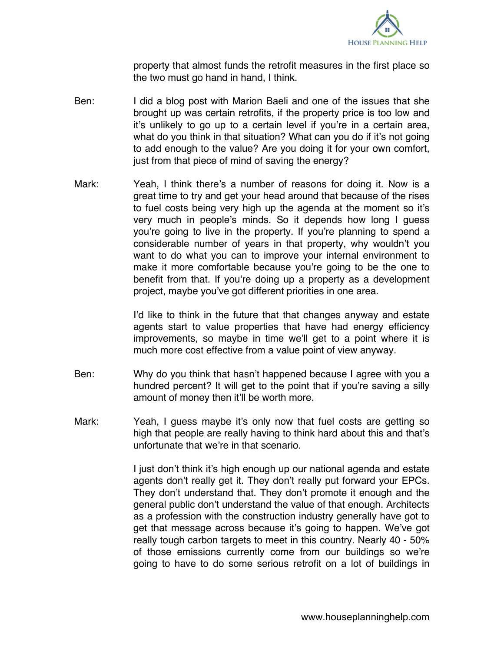

property that almost funds the retrofit measures in the first place so the two must go hand in hand, I think.

- Ben: I did a blog post with Marion Baeli and one of the issues that she brought up was certain retrofits, if the property price is too low and it's unlikely to go up to a certain level if you're in a certain area, what do you think in that situation? What can you do if it's not going to add enough to the value? Are you doing it for your own comfort, just from that piece of mind of saving the energy?
- Mark: Yeah, I think there's a number of reasons for doing it. Now is a great time to try and get your head around that because of the rises to fuel costs being very high up the agenda at the moment so it's very much in people's minds. So it depends how long I guess you're going to live in the property. If you're planning to spend a considerable number of years in that property, why wouldn't you want to do what you can to improve your internal environment to make it more comfortable because you're going to be the one to benefit from that. If you're doing up a property as a development project, maybe you've got different priorities in one area.

I'd like to think in the future that that changes anyway and estate agents start to value properties that have had energy efficiency improvements, so maybe in time we'll get to a point where it is much more cost effective from a value point of view anyway.

- Ben: Why do you think that hasn't happened because I agree with you a hundred percent? It will get to the point that if you're saving a silly amount of money then it'll be worth more.
- Mark: Yeah, I guess maybe it's only now that fuel costs are getting so high that people are really having to think hard about this and that's unfortunate that we're in that scenario.

I just don't think it's high enough up our national agenda and estate agents don't really get it. They don't really put forward your EPCs. They don't understand that. They don't promote it enough and the general public don't understand the value of that enough. Architects as a profession with the construction industry generally have got to get that message across because it's going to happen. We've got really tough carbon targets to meet in this country. Nearly 40 - 50% of those emissions currently come from our buildings so we're going to have to do some serious retrofit on a lot of buildings in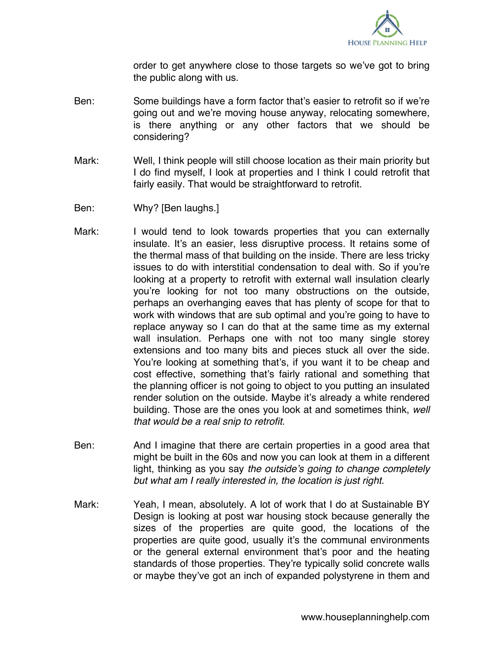

order to get anywhere close to those targets so we've got to bring the public along with us.

- Ben: Some buildings have a form factor that's easier to retrofit so if we're going out and we're moving house anyway, relocating somewhere, is there anything or any other factors that we should be considering?
- Mark: Well, I think people will still choose location as their main priority but I do find myself, I look at properties and I think I could retrofit that fairly easily. That would be straightforward to retrofit.
- Ben: Why? [Ben laughs.]
- Mark: I would tend to look towards properties that you can externally insulate. It's an easier, less disruptive process. It retains some of the thermal mass of that building on the inside. There are less tricky issues to do with interstitial condensation to deal with. So if you're looking at a property to retrofit with external wall insulation clearly you're looking for not too many obstructions on the outside, perhaps an overhanging eaves that has plenty of scope for that to work with windows that are sub optimal and you're going to have to replace anyway so I can do that at the same time as my external wall insulation. Perhaps one with not too many single storey extensions and too many bits and pieces stuck all over the side. You're looking at something that's, if you want it to be cheap and cost effective, something that's fairly rational and something that the planning officer is not going to object to you putting an insulated render solution on the outside. Maybe it's already a white rendered building. Those are the ones you look at and sometimes think, *well that would be a real snip to retrofit.*
- Ben: And I imagine that there are certain properties in a good area that might be built in the 60s and now you can look at them in a different light, thinking as you say *the outside's going to change completely but what am I really interested in, the location is just right*.
- Mark: Yeah, I mean, absolutely. A lot of work that I do at Sustainable BY Design is looking at post war housing stock because generally the sizes of the properties are quite good, the locations of the properties are quite good, usually it's the communal environments or the general external environment that's poor and the heating standards of those properties. They're typically solid concrete walls or maybe they've got an inch of expanded polystyrene in them and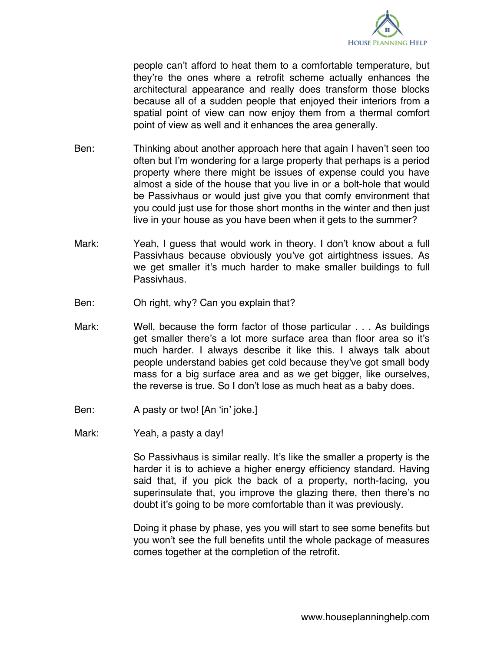

people can't afford to heat them to a comfortable temperature, but they're the ones where a retrofit scheme actually enhances the architectural appearance and really does transform those blocks because all of a sudden people that enjoyed their interiors from a spatial point of view can now enjoy them from a thermal comfort point of view as well and it enhances the area generally.

- Ben: Thinking about another approach here that again I haven't seen too often but I'm wondering for a large property that perhaps is a period property where there might be issues of expense could you have almost a side of the house that you live in or a bolt-hole that would be Passivhaus or would just give you that comfy environment that you could just use for those short months in the winter and then just live in your house as you have been when it gets to the summer?
- Mark: Yeah, I guess that would work in theory. I don't know about a full Passivhaus because obviously you've got airtightness issues. As we get smaller it's much harder to make smaller buildings to full Passivhaus.
- Ben: Oh right, why? Can you explain that?
- Mark: Well, because the form factor of those particular . . . As buildings get smaller there's a lot more surface area than floor area so it's much harder. I always describe it like this. I always talk about people understand babies get cold because they've got small body mass for a big surface area and as we get bigger, like ourselves, the reverse is true. So I don't lose as much heat as a baby does.
- Ben: A pasty or two! [An 'in' joke.]
- Mark: Yeah, a pasty a day!

So Passivhaus is similar really. It's like the smaller a property is the harder it is to achieve a higher energy efficiency standard. Having said that, if you pick the back of a property, north-facing, you superinsulate that, you improve the glazing there, then there's no doubt it's going to be more comfortable than it was previously.

Doing it phase by phase, yes you will start to see some benefits but you won't see the full benefits until the whole package of measures comes together at the completion of the retrofit.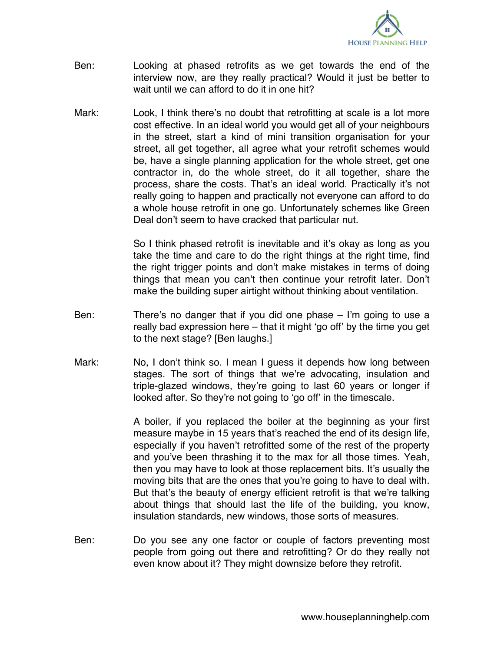

- Ben: Looking at phased retrofits as we get towards the end of the interview now, are they really practical? Would it just be better to wait until we can afford to do it in one hit?
- Mark: Look, I think there's no doubt that retrofitting at scale is a lot more cost effective. In an ideal world you would get all of your neighbours in the street, start a kind of mini transition organisation for your street, all get together, all agree what your retrofit schemes would be, have a single planning application for the whole street, get one contractor in, do the whole street, do it all together, share the process, share the costs. That's an ideal world. Practically it's not really going to happen and practically not everyone can afford to do a whole house retrofit in one go. Unfortunately schemes like Green Deal don't seem to have cracked that particular nut.

So I think phased retrofit is inevitable and it's okay as long as you take the time and care to do the right things at the right time, find the right trigger points and don't make mistakes in terms of doing things that mean you can't then continue your retrofit later. Don't make the building super airtight without thinking about ventilation.

- Ben: There's no danger that if you did one phase I'm going to use a really bad expression here – that it might 'go off' by the time you get to the next stage? [Ben laughs.]
- Mark: No, I don't think so. I mean I guess it depends how long between stages. The sort of things that we're advocating, insulation and triple-glazed windows, they're going to last 60 years or longer if looked after. So they're not going to 'go off' in the timescale.

A boiler, if you replaced the boiler at the beginning as your first measure maybe in 15 years that's reached the end of its design life, especially if you haven't retrofitted some of the rest of the property and you've been thrashing it to the max for all those times. Yeah, then you may have to look at those replacement bits. It's usually the moving bits that are the ones that you're going to have to deal with. But that's the beauty of energy efficient retrofit is that we're talking about things that should last the life of the building, you know, insulation standards, new windows, those sorts of measures.

Ben: Do you see any one factor or couple of factors preventing most people from going out there and retrofitting? Or do they really not even know about it? They might downsize before they retrofit.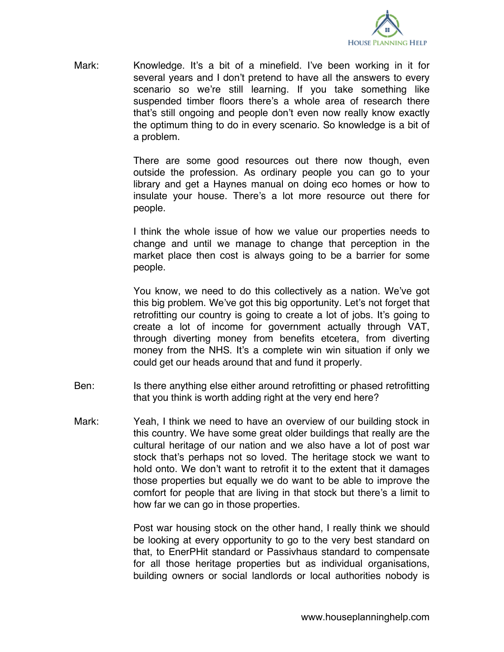

Mark: Knowledge. It's a bit of a minefield. I've been working in it for several years and I don't pretend to have all the answers to every scenario so we're still learning. If you take something like suspended timber floors there's a whole area of research there that's still ongoing and people don't even now really know exactly the optimum thing to do in every scenario. So knowledge is a bit of a problem.

> There are some good resources out there now though, even outside the profession. As ordinary people you can go to your library and get a Haynes manual on doing eco homes or how to insulate your house. There's a lot more resource out there for people.

> I think the whole issue of how we value our properties needs to change and until we manage to change that perception in the market place then cost is always going to be a barrier for some people.

> You know, we need to do this collectively as a nation. We've got this big problem. We've got this big opportunity. Let's not forget that retrofitting our country is going to create a lot of jobs. It's going to create a lot of income for government actually through VAT, through diverting money from benefits etcetera, from diverting money from the NHS. It's a complete win win situation if only we could get our heads around that and fund it properly.

- Ben: Is there anything else either around retrofitting or phased retrofitting that you think is worth adding right at the very end here?
- Mark: Yeah, I think we need to have an overview of our building stock in this country. We have some great older buildings that really are the cultural heritage of our nation and we also have a lot of post war stock that's perhaps not so loved. The heritage stock we want to hold onto. We don't want to retrofit it to the extent that it damages those properties but equally we do want to be able to improve the comfort for people that are living in that stock but there's a limit to how far we can go in those properties.

Post war housing stock on the other hand, I really think we should be looking at every opportunity to go to the very best standard on that, to EnerPHit standard or Passivhaus standard to compensate for all those heritage properties but as individual organisations, building owners or social landlords or local authorities nobody is